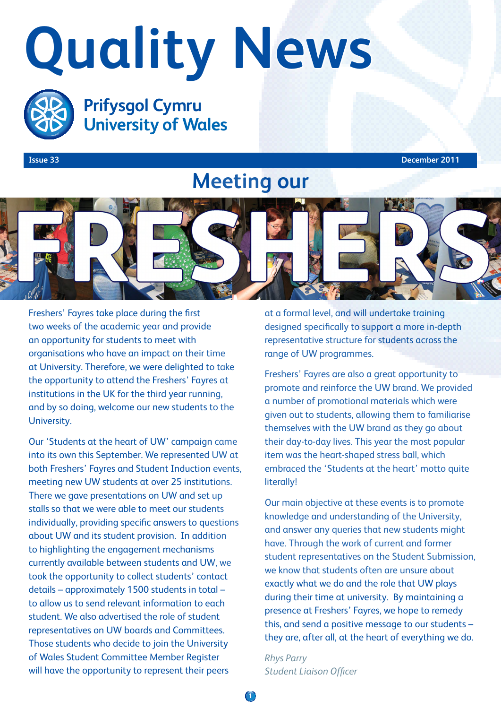# **Quality News**



**Prifysgol Cymru University of Wales** 

**Issue 33 December 2011**

## **Meeting our**



Freshers' Fayres take place during the first two weeks of the academic year and provide an opportunity for students to meet with organisations who have an impact on their time at University. Therefore, we were delighted to take the opportunity to attend the Freshers' Fayres at institutions in the UK for the third year running, and by so doing, welcome our new students to the University.

Our 'Students at the heart of UW' campaign came into its own this September. We represented UW at both Freshers' Fayres and Student Induction events, meeting new UW students at over 25 institutions. There we gave presentations on UW and set up stalls so that we were able to meet our students individually, providing specific answers to questions about UW and its student provision. In addition to highlighting the engagement mechanisms currently available between students and UW, we took the opportunity to collect students' contact details – approximately 1500 students in total – to allow us to send relevant information to each student. We also advertised the role of student representatives on UW boards and Committees. Those students who decide to join the University of Wales Student Committee Member Register will have the opportunity to represent their peers

at a formal level, and will undertake training designed specifically to support a more in-depth representative structure for students across the range of UW programmes.

Freshers' Fayres are also a great opportunity to promote and reinforce the UW brand. We provided a number of promotional materials which were given out to students, allowing them to familiarise themselves with the UW brand as they go about their day-to-day lives. This year the most popular item was the heart-shaped stress ball, which embraced the 'Students at the heart' motto quite literally!

Our main objective at these events is to promote knowledge and understanding of the University, and answer any queries that new students might have. Through the work of current and former student representatives on the Student Submission, we know that students often are unsure about exactly what we do and the role that UW plays during their time at university. By maintaining a presence at Freshers' Fayres, we hope to remedy this, and send a positive message to our students – they are, after all, at the heart of everything we do.

*Rhys Parry Student Liaison Officer*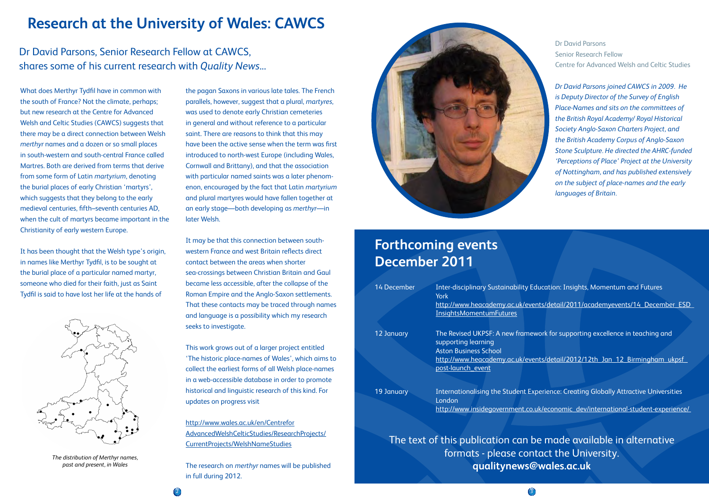## **Research at the University of Wales: CAWCS**

What does Merthyr Tydfil have in common with the south of France? Not the climate, perhaps; but new research at the Centre for Advanced Welsh and Celtic Studies (CAWCS) suggests that there may be a direct connection between Welsh *merthyr* names and a dozen or so small places in south-western and south-central France called Martres. Both are derived from terms that derive from some form of Latin *martyrium*, denoting the burial places of early Christian 'martyrs', which suggests that they belong to the early medieval centuries, fifth–seventh centuries AD, when the cult of martyrs became important in the Christianity of early western Europe.

It has been thought that the Welsh type's origin, in names like Merthyr Tydfil, is to be sought at the burial place of a particular named martyr, someone who died for their faith, just as Saint Tydfil is said to have lost her life at the hands of

## **Forthcoming events December 2011**

| <b>14 December</b> | <b>Inter-disciplinary Sustainability Edu</b><br>York |
|--------------------|------------------------------------------------------|
|                    | http://www.heacademy.ac.uk/event                     |
|                    | <b>InsightsMomentumFutures</b>                       |
|                    |                                                      |
| 12 January         | The Revised UKPSF: A new framewo                     |
|                    | supporting learning                                  |
|                    | <b>Aston Business School</b>                         |
|                    | http://www.heacademy.ac.uk/event                     |
|                    | post-launch event                                    |
|                    |                                                      |
| 19 January         | Internationalising the Student Expe                  |
|                    | London                                               |
|                    | http://www.insidegovernment.co.uk                    |

Dr David Parsons Senior Research Fellow Centre for Advanced Welsh and Celtic Studies

*Dr David Parsons joined CAWCS in 2009. He is Deputy Director of the Survey of English Place-Names and sits on the committees of the British Royal Academy/ Royal Historical Society Anglo-Saxon Charters Project, and the British Academy Corpus of Anglo-Saxon Stone Sculpture. He directed the AHRC-funded 'Perceptions of Place' Project at the University of Nottingham, and has published extensively on the subject of place-names and the early languages of Britain.*

Ication: Insights, Momentum and Futures ts/detail/2011/academyevents/14 December ESD

nk for supporting excellence in teaching and

ts/detail/2012/12th Jan 12 Birmingham\_ukpsf

erience: Creating Globally Attractive Universities

/economic dev/international-student-experience/

The text of this publication can be made available in alternative formats - please contact the University. **qualitynews@wales.ac.uk**

the pagan Saxons in various late tales. The French parallels, however, suggest that a plural, *martyres*, was used to denote early Christian cemeteries in general and without reference to a particular saint. There are reasons to think that this may have been the active sense when the term was first introduced to north-west Europe (including Wales, Cornwall and Brittany), and that the association with particular named saints was a later phenomenon, encouraged by the fact that Latin *martyrium* and plural martyres would have fallen together at an early stage—both developing as *merthyr*—in later Welsh.

It may be that this connection between southwestern France and west Britain reflects direct contact between the areas when shorter sea-crossings between Christian Britain and Gaul became less accessible, after the collapse of the Roman Empire and the Anglo-Saxon settlements. That these contacts may be traced through names and language is a possibility which my research seeks to investigate.

This work grows out of a larger project entitled 'The historic place-names of Wales', which aims to collect the earliest forms of all Welsh place-names in a web-accessible database in order to promote historical and linguistic research of this kind. For updates on progress visit

http://www.wales.ac.uk/en/Centrefor AdvancedWelshCelticStudies/ResearchProjects/ CurrentProjects/WelshNameStudies

The research on *merthyr* names will be published in full during 2012.



### Dr David Parsons, Senior Research Fellow at CAWCS, shares some of his current research with *Quality News*...



*The distribution of Merthyr names, past and present, in Wales*